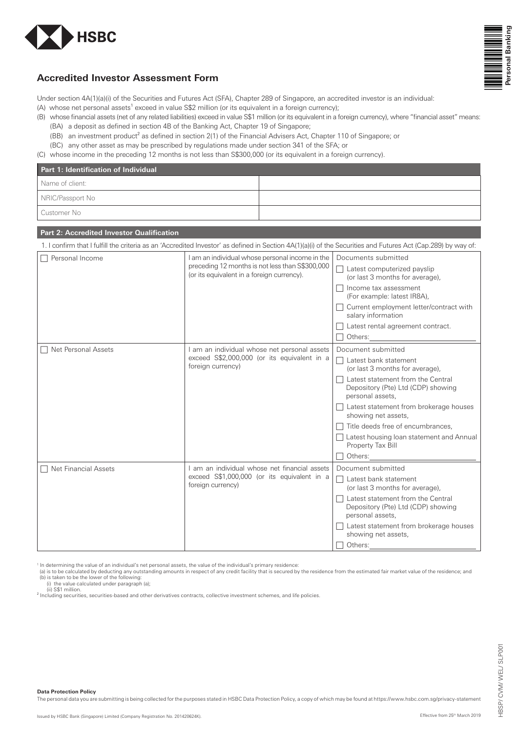



# **Accredited Investor Assessment Form**

Under section 4A(1)(a)(i) of the Securities and Futures Act (SFA), Chapter 289 of Singapore, an accredited investor is an individual:

- (A) whose net personal assets<sup>1</sup> exceed in value  $\frac{2}{2}$  million (or its equivalent in a foreign currency);
- (B) whose financial assets (net of any related liabilities) exceed in value S\$1 million (or its equivalent in a foreign currency), where "financial asset" means:
	- (BA) a deposit as defined in section 4B of the Banking Act, Chapter 19 of Singapore;
	- (BB) an investment product<sup>2</sup> as defined in section  $2(1)$  of the Financial Advisers Act, Chapter 110 of Singapore; or
	- (BC) any other asset as may be prescribed by regulations made under section 341 of the SFA; or
- (C) whose income in the preceding 12 months is not less than S\$300,000 (or its equivalent in a foreign currency).

| Part 1: Identification of Individual |  |  |
|--------------------------------------|--|--|
| Name of client:                      |  |  |
| NRIC/Passport No                     |  |  |
| l Customer No                        |  |  |

## **Part 2: Accredited Investor Qualification**

1. I confirm that I fulfill the criteria as an 'Accredited Investor' as defined in Section 4A(1)(a)(i) of the Securities and Futures Act (Cap.289) by way of:  $\Box$  Personal Income personal income personal income  $\Box$  and  $\Box$  and  $\Box$  and  $\Box$  and  $\Box$  and  $\Box$  and  $\Box$  and  $\Box$  and  $\Box$  and  $\Box$  and  $\Box$  and  $\Box$  and  $\Box$  and  $\Box$  and  $\Box$  and  $\Box$  and  $\Box$  and  $\Box$  and  $\Box$  a preceding 12 months is not less than S\$300,000 (or its equivalent in a foreign currency). Documents submitted  $\Box$  Latest computerized payslip (or last 3 months for average),  $\Box$  Income tax assessment (For example: latest IR8A),  $\Box$  Current employment letter/contract with salary information  $\Box$  Latest rental agreement contract.  $\Box$  Others:  $\Box$  Net Personal Assets  $\Box$  and individual whose net personal assets exceed S\$2,000,000 (or its equivalent in a foreign currency) Document submitted  $\Box$  Latest bank statement (or last 3 months for average),  $\Box$  Latest statement from the Central Depository (Pte) Ltd (CDP) showing personal assets

|                             |                                                                                                                 | Latest statement from brokerage houses<br>showing net assets,                               |
|-----------------------------|-----------------------------------------------------------------------------------------------------------------|---------------------------------------------------------------------------------------------|
|                             | Title deeds free of encumbrances,                                                                               |                                                                                             |
|                             |                                                                                                                 | Latest housing loan statement and Annual<br>Property Tax Bill                               |
|                             |                                                                                                                 | Others:                                                                                     |
| $\Box$ Net Financial Assets | am an individual whose net financial assets<br>exceed S\$1,000,000 (or its equivalent in a<br>foreign currency) | Document submitted                                                                          |
|                             |                                                                                                                 | Latest bank statement<br>(or last 3 months for average),                                    |
|                             |                                                                                                                 | Latest statement from the Central<br>Depository (Pte) Ltd (CDP) showing<br>personal assets, |
|                             |                                                                                                                 | Latest statement from brokerage houses<br>showing net assets,                               |
|                             |                                                                                                                 | Others:                                                                                     |

<sup>1</sup> In determining the value of an individual's net personal assets, the value of the individual's primary residence:

(a) is to be calculated by deducting any outstanding amounts in respect of any credit facility that is secured by the residence from the estimated fair market value of the residence; and (b) is taken to be the lower of the following:

(i) the value calculated under paragraph (a);<br>(ii) S\$1 million.

<sup>2</sup> Including securities, securities-based and other derivatives contracts, collective investment schemes, and life policies.

**Data Protection Policy** 

The personal data you are submitting is being collected for the purposes stated in HSBC Data Protection Policy, a copy of which may be found at https://www.hsbc.com.sg/privacy-statement